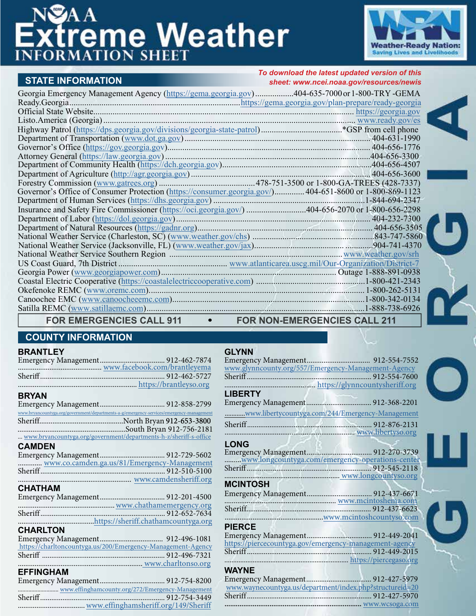# **Extreme Weather**



#### **STATE INFORMATION**

#### *To download the latest updated version of this sheet: [www.ncei.noaa.gov/resources/newis](https://www.ncei.noaa.gov/resources/newis)*

| Georgia Emergency Management Agency (https://gema.georgia.gov)404-635-7000 or 1-800-TRY-GEMA            |  |
|---------------------------------------------------------------------------------------------------------|--|
|                                                                                                         |  |
|                                                                                                         |  |
|                                                                                                         |  |
|                                                                                                         |  |
|                                                                                                         |  |
|                                                                                                         |  |
|                                                                                                         |  |
|                                                                                                         |  |
|                                                                                                         |  |
|                                                                                                         |  |
| Governor's Office of Consumer Protection (https://consumer.georgia.gov/) 404-651-8600 or 1-800-869-1123 |  |
|                                                                                                         |  |
| Insurance and Safety Fire Commissioner (https://oci.georgia.gov/) 404-656-2070 or 1-800-656-2298        |  |
|                                                                                                         |  |
|                                                                                                         |  |
|                                                                                                         |  |
|                                                                                                         |  |
|                                                                                                         |  |
|                                                                                                         |  |
|                                                                                                         |  |
|                                                                                                         |  |
|                                                                                                         |  |
|                                                                                                         |  |
|                                                                                                         |  |
|                                                                                                         |  |

**FOR EMERGENCIES CALL 911 FOR NON-EMERGENCIES CALL 211** 

#### **COUNTY INFORMATION**

#### **BRANTLEY**

| <b>BRYAN</b>                                                                             |                    |
|------------------------------------------------------------------------------------------|--------------------|
|                                                                                          |                    |
| www.bryancountyga.org/government/departments-a-g/emergency-services/emergency-management |                    |
|                                                                                          |                    |
|                                                                                          |                    |
| www.bryancountyga.org/government/departments-h-z/sheriff-s-office                        |                    |
|                                                                                          |                    |
| <b>CAMDEN</b>                                                                            |                    |
|                                                                                          |                    |
| www.co.camden.ga.us/81/Emergency-Management                                              |                    |
|                                                                                          |                    |
|                                                                                          |                    |
| <b>CHATHAM</b>                                                                           |                    |
|                                                                                          |                    |
|                                                                                          |                    |
|                                                                                          |                    |
|                                                                                          |                    |
|                                                                                          |                    |
| <b>CHARLTON</b>                                                                          |                    |
|                                                                                          |                    |
| https://charltoncountyga.us/200/Emergency-Management-Agency                              |                    |
|                                                                                          |                    |
|                                                                                          | www.charltonso.org |
| <b>EFFINGHAM</b>                                                                         |                    |
|                                                                                          |                    |
|                                                                                          |                    |
|                                                                                          |                    |
|                                                                                          |                    |
|                                                                                          |                    |

| www.glynncounty.org/557/Emergency-Management-Agency |  |
|-----------------------------------------------------|--|
|                                                     |  |
|                                                     |  |
| <b>LIBERTY</b>                                      |  |
|                                                     |  |
| www.libertycountyga.com/244/Emergency-Management    |  |
|                                                     |  |
|                                                     |  |

#### **LONG**

**GLYNN**

| -----                                            |  |
|--------------------------------------------------|--|
|                                                  |  |
| www.longcountyga.com/emergency-operations-center |  |
|                                                  |  |
| www.longcountyso.org                             |  |
| <b>MOINTOOU</b>                                  |  |

| <b>MCINTOSH</b> |  |
|-----------------|--|
|                 |  |
|                 |  |
|                 |  |
|                 |  |
|                 |  |

#### **PIERCE**

| https://piercecountyga.gov/emergency-management-agency |  |
|--------------------------------------------------------|--|
|                                                        |  |
|                                                        |  |
|                                                        |  |

## **WAYNE**

| .                                                        |  |
|----------------------------------------------------------|--|
|                                                          |  |
| www.waynecountyga.us/department/index.php?structureid=20 |  |
|                                                          |  |
|                                                          |  |